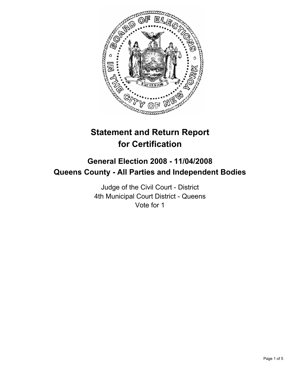

# **Statement and Return Report for Certification**

## **General Election 2008 - 11/04/2008 Queens County - All Parties and Independent Bodies**

Judge of the Civil Court - District 4th Municipal Court District - Queens Vote for 1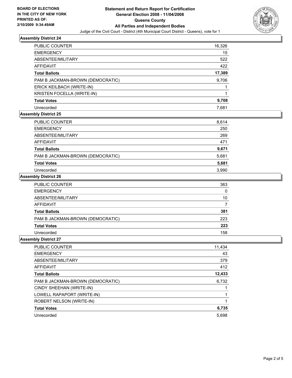

#### **Assembly District 24**

| <b>PUBLIC COUNTER</b>            | 16,326 |
|----------------------------------|--------|
| <b>EMERGENCY</b>                 | 15     |
| ABSENTEE/MILITARY                | 522    |
| <b>AFFIDAVIT</b>                 | 422    |
| <b>Total Ballots</b>             | 17,389 |
| PAM B JACKMAN-BROWN (DEMOCRATIC) | 9,706  |
| ERICK KEILBACH (WRITE-IN)        |        |
| KRISTEN FOCELLA (WRITE-IN)       |        |
| <b>Total Votes</b>               | 9,708  |
| Unrecorded                       | 7.681  |

#### **Assembly District 25**

| <b>PUBLIC COUNTER</b>            | 8,614 |
|----------------------------------|-------|
| <b>EMERGENCY</b>                 | 250   |
| ABSENTEE/MILITARY                | 269   |
| AFFIDAVIT                        | 471   |
| <b>Total Ballots</b>             | 9,671 |
| PAM B JACKMAN-BROWN (DEMOCRATIC) | 5,681 |
| <b>Total Votes</b>               | 5,681 |
| Unrecorded                       | 3.990 |

#### **Assembly District 26**

| <b>PUBLIC COUNTER</b>            | 363 |  |
|----------------------------------|-----|--|
| <b>EMERGENCY</b>                 | 0   |  |
| ABSENTEE/MILITARY                | 10  |  |
| AFFIDAVIT                        |     |  |
| <b>Total Ballots</b>             | 381 |  |
| PAM B JACKMAN-BROWN (DEMOCRATIC) | 223 |  |
| <b>Total Votes</b>               | 223 |  |
| Unrecorded                       | 158 |  |

#### **Assembly District 27**

| PUBLIC COUNTER                   | 11,434 |
|----------------------------------|--------|
| <b>EMERGENCY</b>                 | 43     |
| ABSENTEE/MILITARY                | 379    |
| AFFIDAVIT                        | 412    |
| <b>Total Ballots</b>             | 12,433 |
| PAM B JACKMAN-BROWN (DEMOCRATIC) | 6,732  |
| CINDY SHEEHAN (WRITE-IN)         |        |
| LOWELL RAPAPORT (WRITE-IN)       |        |
| ROBERT NELSON (WRITE-IN)         |        |
| <b>Total Votes</b>               | 6,735  |
| Unrecorded                       | 5.698  |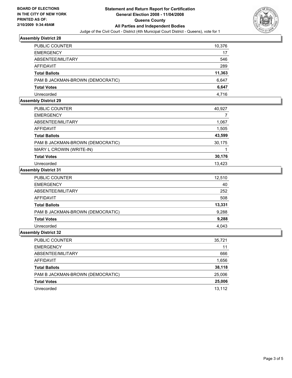

#### **Assembly District 28**

| PUBLIC COUNTER                   | 10,376 |
|----------------------------------|--------|
| <b>EMERGENCY</b>                 | 17     |
| ABSENTEE/MILITARY                | 546    |
| AFFIDAVIT                        | 289    |
| <b>Total Ballots</b>             | 11,363 |
| PAM B JACKMAN-BROWN (DEMOCRATIC) | 6,647  |
| <b>Total Votes</b>               | 6,647  |
| Unrecorded                       | 4.716  |

#### **Assembly District 29**

| PUBLIC COUNTER                   | 40,927 |
|----------------------------------|--------|
| <b>EMERGENCY</b>                 |        |
| ABSENTEE/MILITARY                | 1,067  |
| AFFIDAVIT                        | 1,505  |
| <b>Total Ballots</b>             | 43,599 |
| PAM B JACKMAN-BROWN (DEMOCRATIC) | 30,175 |
| MARY L CROWIN (WRITE-IN)         |        |
| <b>Total Votes</b>               | 30,176 |
| Unrecorded                       | 13,423 |

#### **Assembly District 31**

| PUBLIC COUNTER                   | 12,510 |
|----------------------------------|--------|
| <b>EMERGENCY</b>                 | 40     |
| ABSENTEE/MILITARY                | 252    |
| <b>AFFIDAVIT</b>                 | 508    |
| <b>Total Ballots</b>             | 13,331 |
| PAM B JACKMAN-BROWN (DEMOCRATIC) | 9,288  |
| <b>Total Votes</b>               | 9,288  |
| Unrecorded                       | 4,043  |
| .                                |        |

#### **Assembly District 32**

| 35,721 |
|--------|
| 11     |
| 666    |
| 1,656  |
| 38,118 |
| 25,006 |
| 25,006 |
| 13,112 |
|        |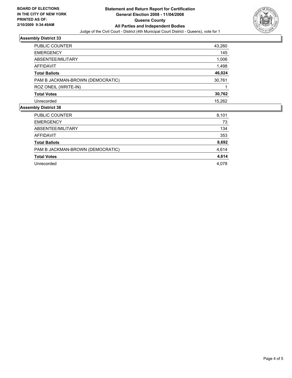

#### **Assembly District 33**

| PUBLIC COUNTER                   | 43,260 |
|----------------------------------|--------|
| <b>EMERGENCY</b>                 | 145    |
| ABSENTEE/MILITARY                | 1,006  |
| AFFIDAVIT                        | 1,498  |
| <b>Total Ballots</b>             | 46,024 |
| PAM B JACKMAN-BROWN (DEMOCRATIC) | 30,761 |
| ROZ ONEIL (WRITE-IN)             |        |
| <b>Total Votes</b>               | 30,762 |
| Unrecorded                       | 15,262 |
| nhly Nietrict 28                 |        |

### **Assembly District 38**

| <b>PUBLIC COUNTER</b>            | 8,101 |
|----------------------------------|-------|
| <b>EMERGENCY</b>                 | 73    |
| ABSENTEE/MILITARY                | 134   |
| AFFIDAVIT                        | 353   |
| <b>Total Ballots</b>             | 8,692 |
| PAM B JACKMAN-BROWN (DEMOCRATIC) | 4,614 |
| <b>Total Votes</b>               | 4,614 |
| Unrecorded                       | 4,078 |
|                                  |       |